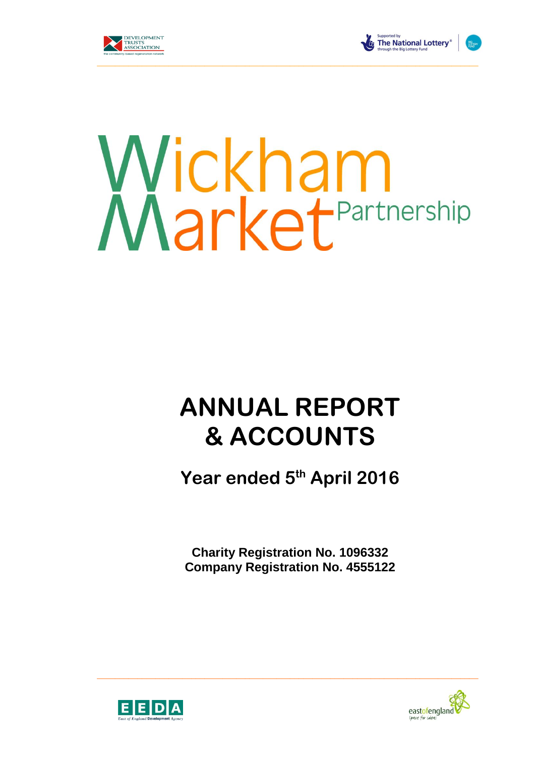



The National Lottery®

# Wickham<br>Market<sup>Partnership</sup>

# **ANNUAL REPORT & ACCOUNTS**

**Year ended 5th April 2016**

**Charity Registration No. 1096332 Company Registration No. 4555122**

 $\_$  , and the set of the set of the set of the set of the set of the set of the set of the set of the set of the set of the set of the set of the set of the set of the set of the set of the set of the set of the set of th



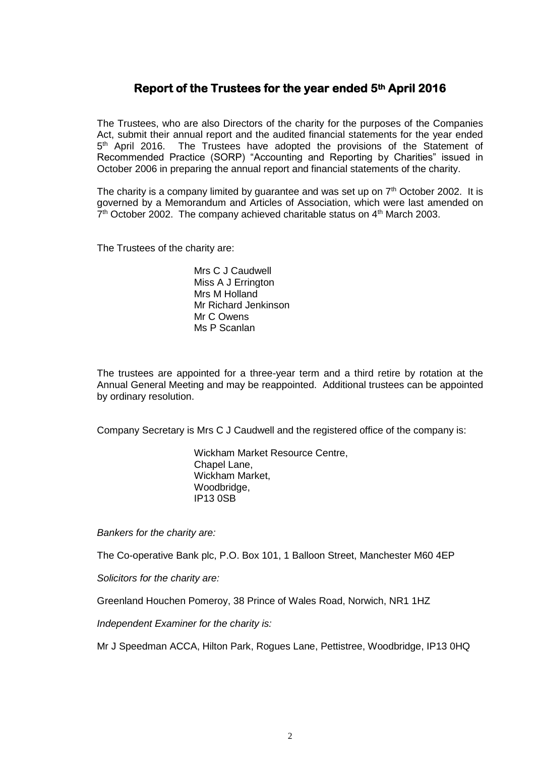# **Report of the Trustees for the year ended 5th April 2016**

The Trustees, who are also Directors of the charity for the purposes of the Companies Act, submit their annual report and the audited financial statements for the year ended 5<sup>th</sup> April 2016. The Trustees have adopted the provisions of the Statement of Recommended Practice (SORP) "Accounting and Reporting by Charities" issued in October 2006 in preparing the annual report and financial statements of the charity.

The charity is a company limited by guarantee and was set up on  $7<sup>th</sup>$  October 2002. It is governed by a Memorandum and Articles of Association, which were last amended on 7<sup>th</sup> October 2002. The company achieved charitable status on 4<sup>th</sup> March 2003.

The Trustees of the charity are:

Mrs C J Caudwell Miss A J Errington Mrs M Holland Mr Richard Jenkinson Mr C Owens Ms P Scanlan

The trustees are appointed for a three-year term and a third retire by rotation at the Annual General Meeting and may be reappointed. Additional trustees can be appointed by ordinary resolution.

Company Secretary is Mrs C J Caudwell and the registered office of the company is:

Wickham Market Resource Centre, Chapel Lane, Wickham Market, Woodbridge, IP13 0SB

*Bankers for the charity are:*

The Co-operative Bank plc, P.O. Box 101, 1 Balloon Street, Manchester M60 4EP

*Solicitors for the charity are:*

Greenland Houchen Pomeroy, 38 Prince of Wales Road, Norwich, NR1 1HZ

*Independent Examiner for the charity is:*

Mr J Speedman ACCA, Hilton Park, Rogues Lane, Pettistree, Woodbridge, IP13 0HQ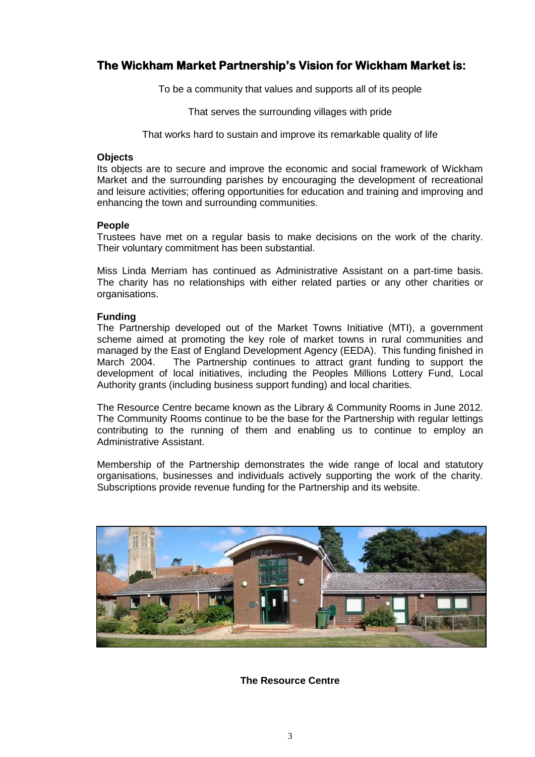## **The Wickham Market Partnership's Vision for Wickham Market is:**

To be a community that values and supports all of its people

That serves the surrounding villages with pride

That works hard to sustain and improve its remarkable quality of life

### **Objects**

Its objects are to secure and improve the economic and social framework of Wickham Market and the surrounding parishes by encouraging the development of recreational and leisure activities; offering opportunities for education and training and improving and enhancing the town and surrounding communities.

### **People**

Trustees have met on a regular basis to make decisions on the work of the charity. Their voluntary commitment has been substantial.

Miss Linda Merriam has continued as Administrative Assistant on a part-time basis. The charity has no relationships with either related parties or any other charities or organisations.

### **Funding**

The Partnership developed out of the Market Towns Initiative (MTI), a government scheme aimed at promoting the key role of market towns in rural communities and managed by the East of England Development Agency (EEDA). This funding finished in March 2004. The Partnership continues to attract grant funding to support the development of local initiatives, including the Peoples Millions Lottery Fund, Local Authority grants (including business support funding) and local charities.

The Resource Centre became known as the Library & Community Rooms in June 2012. The Community Rooms continue to be the base for the Partnership with regular lettings contributing to the running of them and enabling us to continue to employ an Administrative Assistant.

Membership of the Partnership demonstrates the wide range of local and statutory organisations, businesses and individuals actively supporting the work of the charity. Subscriptions provide revenue funding for the Partnership and its website.



**The Resource Centre**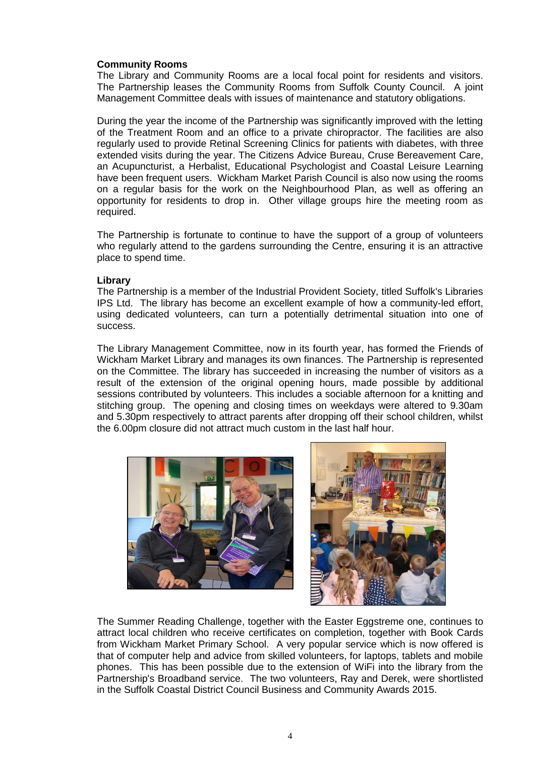### **Community Rooms**

The Library and Community Rooms are a local focal point for residents and visitors. The Partnership leases the Community Rooms from Suffolk County Council. A joint Management Committee deals with issues of maintenance and statutory obligations.

During the year the income of the Partnership was significantly improved with the letting of the Treatment Room and an office to a private chiropractor. The facilities are also regularly used to provide Retinal Screening Clinics for patients with diabetes, with three extended visits during the year. The Citizens Advice Bureau, Cruse Bereavement Care, an Acupuncturist, a Herbalist, Educational Psychologist and Coastal Leisure Learning have been frequent users. Wickham Market Parish Council is also now using the rooms on a regular basis for the work on the Neighbourhood Plan, as well as offering an opportunity for residents to drop in. Other village groups hire the meeting room as required.

The Partnership is fortunate to continue to have the support of a group of volunteers who regularly attend to the gardens surrounding the Centre, ensuring it is an attractive place to spend time.

### **Library**

The Partnership is a member of the Industrial Provident Society, titled Suffolk's Libraries IPS Ltd. The library has become an excellent example of how a community-led effort, using dedicated volunteers, can turn a potentially detrimental situation into one of success.

The Library Management Committee, now in its fourth year, has formed the Friends of Wickham Market Library and manages its own finances. The Partnership is represented on the Committee. The library has succeeded in increasing the number of visitors as a result of the extension of the original opening hours, made possible by additional sessions contributed by volunteers. This includes a sociable afternoon for a knitting and stitching group. The opening and closing times on weekdays were altered to 9.30am and 5.30pm respectively to attract parents after dropping off their school children, whilst the 6.00pm closure did not attract much custom in the last half hour.





The Summer Reading Challenge, together with the Easter Eggstreme one, continues to attract local children who receive certificates on completion, together with Book Cards from Wickham Market Primary School. A very popular service which is now offered is that of computer help and advice from skilled volunteers, for laptops, tablets and mobile phones. This has been possible due to the extension of WiFi into the library from the Partnership's Broadband service. The two volunteers, Ray and Derek, were shortlisted in the Suffolk Coastal District Council Business and Community Awards 2015.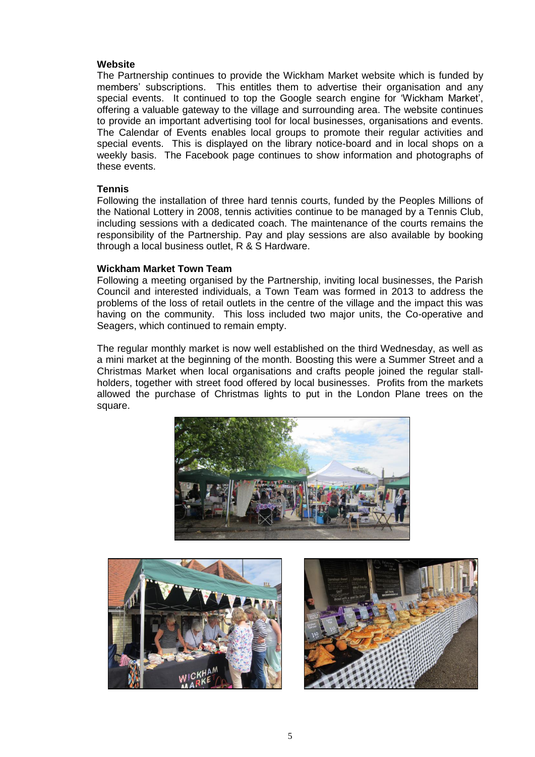### **Website**

The Partnership continues to provide the Wickham Market website which is funded by members' subscriptions. This entitles them to advertise their organisation and any special events. It continued to top the Google search engine for 'Wickham Market', offering a valuable gateway to the village and surrounding area. The website continues to provide an important advertising tool for local businesses, organisations and events. The Calendar of Events enables local groups to promote their regular activities and special events. This is displayed on the library notice-board and in local shops on a weekly basis. The Facebook page continues to show information and photographs of these events.

### **Tennis**

Following the installation of three hard tennis courts, funded by the Peoples Millions of the National Lottery in 2008, tennis activities continue to be managed by a Tennis Club, including sessions with a dedicated coach. The maintenance of the courts remains the responsibility of the Partnership. Pay and play sessions are also available by booking through a local business outlet, R & S Hardware.

### **Wickham Market Town Team**

Following a meeting organised by the Partnership, inviting local businesses, the Parish Council and interested individuals, a Town Team was formed in 2013 to address the problems of the loss of retail outlets in the centre of the village and the impact this was having on the community. This loss included two major units, the Co-operative and Seagers, which continued to remain empty.

The regular monthly market is now well established on the third Wednesday, as well as a mini market at the beginning of the month. Boosting this were a Summer Street and a Christmas Market when local organisations and crafts people joined the regular stallholders, together with street food offered by local businesses. Profits from the markets allowed the purchase of Christmas lights to put in the London Plane trees on the square.